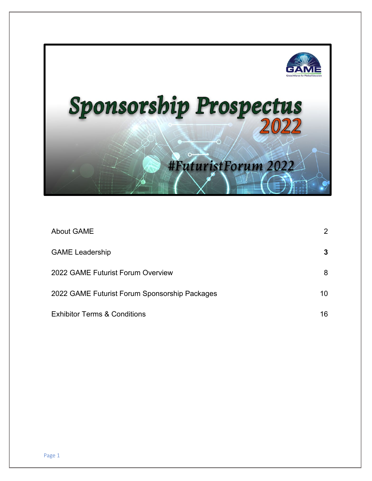

| <b>About GAME</b>                             | 2  |
|-----------------------------------------------|----|
| <b>GAME Leadership</b>                        | 3  |
| 2022 GAME Futurist Forum Overview             | 8  |
| 2022 GAME Futurist Forum Sponsorship Packages | 10 |
| <b>Exhibitor Terms &amp; Conditions</b>       | 16 |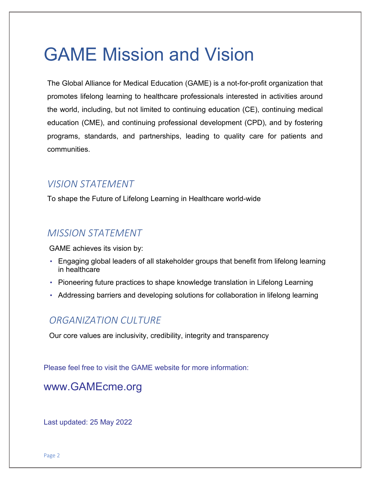# GAME Mission and Vision

The Global Alliance for Medical Education (GAME) is a not-for-profit organization that promotes lifelong learning to healthcare professionals interested in activities around the world, including, but not limited to continuing education (CE), continuing medical education (CME), and continuing professional development (CPD), and by fostering programs, standards, and partnerships, leading to quality care for patients and communities.

# *VISION STATEMENT*

To shape the Future of Lifelong Learning in Healthcare world-wide

# *MISSION STATEMENT*

GAME achieves its vision by:

- Engaging global leaders of all stakeholder groups that benefit from lifelong learning in healthcare
- Pioneering future practices to shape knowledge translation in Lifelong Learning
- Addressing barriers and developing solutions for collaboration in lifelong learning

# *ORGANIZATION CULTURE*

Our core values are inclusivity, credibility, integrity and transparency

Please feel free to visit the GAME website for more information:

www.GAMEcme.org

Last updated: 25 May 2022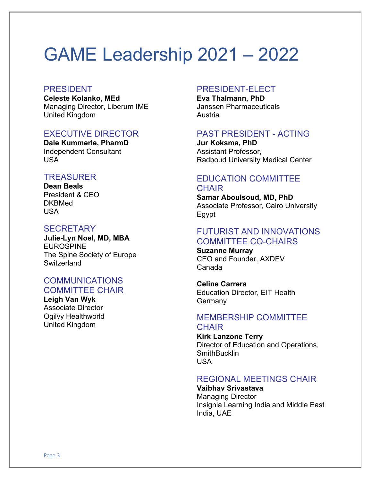# GAME Leadership 2021 – 2022

#### PRESIDENT

**Celeste Kolanko, MEd** Managing Director, Liberum IME United Kingdom

# EXECUTIVE DIRECTOR

**Dale Kummerle, PharmD** Independent Consultant USA

## **TREASURER**

**Dean Beals** President & CEO **DKBMed** USA

## **SECRETARY**

**Julie-Lyn Noel, MD, MBA** EUROSPINE The Spine Society of Europe **Switzerland** 

# COMMUNICATIONS COMMITTEE CHAIR

**Leigh Van Wyk** Associate Director Ogilvy Healthworld United Kingdom

## PRESIDENT-ELECT

**Eva Thalmann, PhD** Janssen Pharmaceuticals Austria

## PAST PRESIDENT - ACTING

**Jur Koksma, PhD** Assistant Professor, Radboud University Medical Center

# EDUCATION COMMITTEE **CHAIR**

**Samar Aboulsoud, MD, PhD** Associate Professor, Cairo University Egypt

# FUTURIST AND INNOVATIONS COMMITTEE CO-CHAIRS

**Suzanne Murray** CEO and Founder, AXDEV Canada

**Celine Carrera** Education Director, EIT Health **Germany** 

## MEMBERSHIP COMMITTEE **CHAIR**

**Kirk Lanzone Terry** Director of Education and Operations, **SmithBucklin** USA

# REGIONAL MEETINGS CHAIR

**Vaibhav Srivastava** Managing Director Insignia Learning India and Middle East India, UAE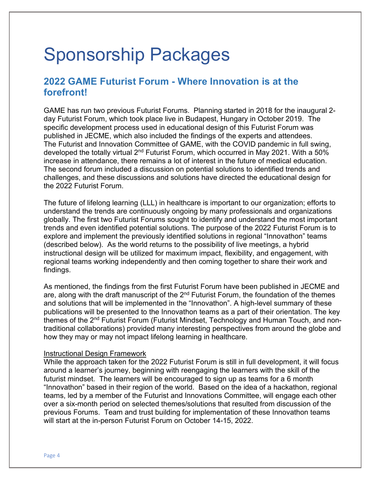# Sponsorship Packages

# **2022 GAME Futurist Forum - Where Innovation is at the forefront!**

GAME has run two previous Futurist Forums. Planning started in 2018 for the inaugural 2 day Futurist Forum, which took place live in Budapest, Hungary in October 2019. The specific development process used in educational design of this Futurist Forum was published in JECME, which also included the findings of the experts and attendees. The Futurist and Innovation Committee of GAME, with the COVID pandemic in full swing, developed the totally virtual 2<sup>nd</sup> Futurist Forum, which occurred in May 2021. With a 50% increase in attendance, there remains a lot of interest in the future of medical education. The second forum included a discussion on potential solutions to identified trends and challenges, and these discussions and solutions have directed the educational design for the 2022 Futurist Forum.

The future of lifelong learning (LLL) in healthcare is important to our organization; efforts to understand the trends are continuously ongoing by many professionals and organizations globally. The first two Futurist Forums sought to identify and understand the most important trends and even identified potential solutions. The purpose of the 2022 Futurist Forum is to explore and implement the previously identified solutions in regional "Innovathon" teams (described below). As the world returns to the possibility of live meetings, a hybrid instructional design will be utilized for maximum impact, flexibility, and engagement, with regional teams working independently and then coming together to share their work and findings.

As mentioned, the findings from the first Futurist Forum have been published in JECME and are, along with the draft manuscript of the 2<sup>nd</sup> Futurist Forum, the foundation of the themes and solutions that will be implemented in the "Innovathon". A high-level summary of these publications will be presented to the Innovathon teams as a part of their orientation. The key themes of the 2<sup>nd</sup> Futurist Forum (Futurist Mindset, Technology and Human Touch, and nontraditional collaborations) provided many interesting perspectives from around the globe and how they may or may not impact lifelong learning in healthcare.

#### Instructional Design Framework

While the approach taken for the 2022 Futurist Forum is still in full development, it will focus around a learner's journey, beginning with reengaging the learners with the skill of the futurist mindset. The learners will be encouraged to sign up as teams for a 6 month "Innovathon" based in their region of the world. Based on the idea of a hackathon, regional teams, led by a member of the Futurist and Innovations Committee, will engage each other over a six-month period on selected themes/solutions that resulted from discussion of the previous Forums. Team and trust building for implementation of these Innovathon teams will start at the in-person Futurist Forum on October 14-15, 2022.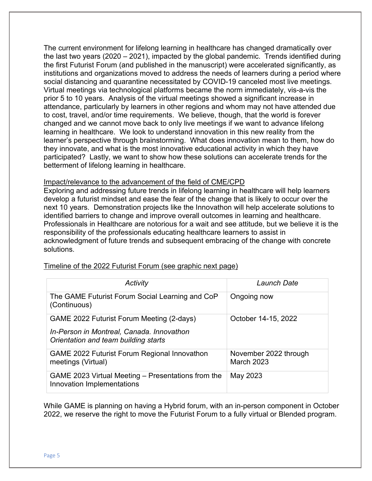The current environment for lifelong learning in healthcare has changed dramatically over the last two years (2020 – 2021), impacted by the global pandemic. Trends identified during the first Futurist Forum (and published in the manuscript) were accelerated significantly, as institutions and organizations moved to address the needs of learners during a period where social distancing and quarantine necessitated by COVID-19 canceled most live meetings. Virtual meetings via technological platforms became the norm immediately, vis-a-vis the prior 5 to 10 years. Analysis of the virtual meetings showed a significant increase in attendance, particularly by learners in other regions and whom may not have attended due to cost, travel, and/or time requirements. We believe, though, that the world is forever changed and we cannot move back to only live meetings if we want to advance lifelong learning in healthcare. We look to understand innovation in this new reality from the learner's perspective through brainstorming. What does innovation mean to them, how do they innovate, and what is the most innovative educational activity in which they have participated? Lastly, we want to show how these solutions can accelerate trends for the betterment of lifelong learning in healthcare.

#### Impact/relevance to the advancement of the field of CME/CPD

Exploring and addressing future trends in lifelong learning in healthcare will help learners develop a futurist mindset and ease the fear of the change that is likely to occur over the next 10 years. Demonstration projects like the Innovathon will help accelerate solutions to identified barriers to change and improve overall outcomes in learning and healthcare. Professionals in Healthcare are notorious for a wait and see attitude, but we believe it is the responsibility of the professionals educating healthcare learners to assist in acknowledgment of future trends and subsequent embracing of the change with concrete solutions.

| Activity                                                                          | Launch Date                                |
|-----------------------------------------------------------------------------------|--------------------------------------------|
| The GAME Futurist Forum Social Learning and CoP<br>(Continuous)                   | Ongoing now                                |
| GAME 2022 Futurist Forum Meeting (2-days)                                         | October 14-15, 2022                        |
| In-Person in Montreal, Canada. Innovathon<br>Orientation and team building starts |                                            |
| <b>GAME 2022 Futurist Forum Regional Innovathon</b><br>meetings (Virtual)         | November 2022 through<br><b>March 2023</b> |
| GAME 2023 Virtual Meeting - Presentations from the<br>Innovation Implementations  | May 2023                                   |

#### Timeline of the 2022 Futurist Forum (see graphic next page)

While GAME is planning on having a Hybrid forum, with an in-person component in October 2022, we reserve the right to move the Futurist Forum to a fully virtual or Blended program.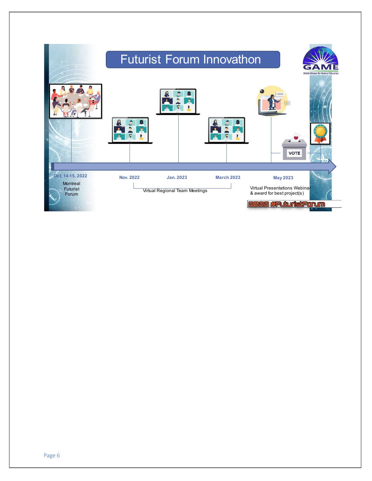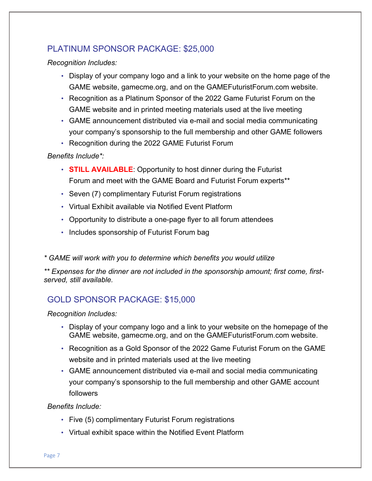# PLATINUM SPONSOR PACKAGE: \$25,000

*Recognition Includes:*

- Display of your company logo and a link to your website on the home page of the GAME website, [gamecme.org,](http://www.gamecme.org/) and on the GAMEFuturistForum.com website.
- Recognition as a Platinum Sponsor of the 2022 Game Futurist Forum on the GAME website and in printed meeting materials used at the live meeting
- GAME announcement distributed via e-mail and social media communicating your company's sponsorship to the full membership and other GAME followers
- Recognition during the 2022 GAME Futurist Forum

## *Benefits Include\*:*

- **STILL AVAILABLE**: Opportunity to host dinner during the Futurist Forum and meet with the GAME Board and Futurist Forum experts\*\*
- Seven (7) complimentary Futurist Forum registrations
- Virtual Exhibit available via Notified Event Platform
- Opportunity to distribute a one-page flyer to all forum attendees
- Includes sponsorship of Futurist Forum bag
- *\* GAME will work with you to determine which benefits you would utilize*

*\*\* Expenses for the dinner are not included in the sponsorship amount; first come, firstserved, still available.*

# GOLD SPONSOR PACKAGE: \$15,000

## *Recognition Includes:*

- Display of your company logo and a link to your website on the homepage of the GAME website, [gamecme.org,](http://www.gamecme.org/) and on the GAMEFuturistForum.com website.
- Recognition as a Gold Sponsor of the 2022 Game Futurist Forum on the GAME website and in printed materials used at the live meeting
- GAME announcement distributed via e-mail and social media communicating your company's sponsorship to the full membership and other GAME account followers

*Benefits Include:*

- Five (5) complimentary Futurist Forum registrations
- Virtual exhibit space within the Notified Event Platform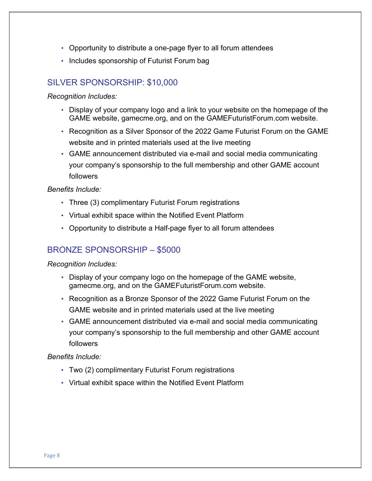- Opportunity to distribute a one-page flyer to all forum attendees
- Includes sponsorship of Futurist Forum bag

# SILVER SPONSORSHIP: \$10,000

#### *Recognition Includes:*

- Display of your company logo and a link to your website on the homepage of the GAME website, [gamecme.org,](http://www.gamecme.org/) and on the GAMEFuturistForum.com website.
- Recognition as a Silver Sponsor of the 2022 Game Futurist Forum on the GAME website and in printed materials used at the live meeting
- GAME announcement distributed via e-mail and social media communicating your company's sponsorship to the full membership and other GAME account followers

#### *Benefits Include:*

- Three (3) complimentary Futurist Forum registrations
- Virtual exhibit space within the Notified Event Platform
- Opportunity to distribute a Half-page flyer to all forum attendees

## BRONZE SPONSORSHIP – \$5000

#### *Recognition Includes:*

- Display of your company logo on the homepage of the GAME website, [gamecme.org,](http://www.gamecme.org/) and on the GAMEFuturistForum.com website.
- Recognition as a Bronze Sponsor of the 2022 Game Futurist Forum on the GAME website and in printed materials used at the live meeting
- GAME announcement distributed via e-mail and social media communicating your company's sponsorship to the full membership and other GAME account followers

#### *Benefits Include:*

- Two (2) complimentary Futurist Forum registrations
- Virtual exhibit space within the Notified Event Platform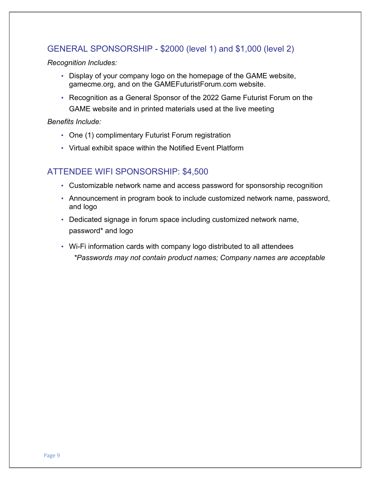# GENERAL SPONSORSHIP - \$2000 (level 1) and \$1,000 (level 2)

*Recognition Includes:*

- Display of your company logo on the homepage of the GAME website, [gamecme.org,](http://www.gamecme.org/) and on the GAMEFuturistForum.com website.
- Recognition as a General Sponsor of the 2022 Game Futurist Forum on the GAME website and in printed materials used at the live meeting

### *Benefits Include:*

- One (1) complimentary Futurist Forum registration
- Virtual exhibit space within the Notified Event Platform

# ATTENDEE WIFI SPONSORSHIP: \$4,500

- Customizable network name and access password for sponsorship recognition
- Announcement in program book to include customized network name, password, and logo
- Dedicated signage in forum space including customized network name, password\* and logo
- Wi-Fi information cards with company logo distributed to all attendees *\*Passwords may not contain product names; Company names are acceptable*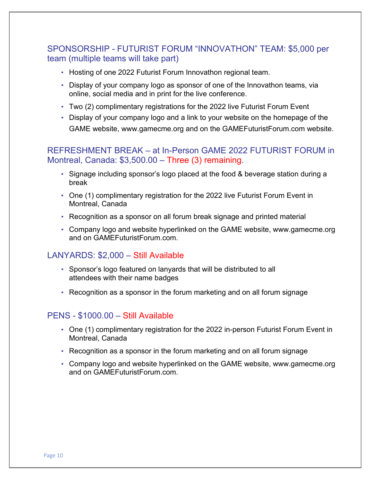# SPONSORSHIP - FUTURIST FORUM "INNOVATHON" TEAM: \$5,000 per team (multiple teams will take part)

- Hosting of one 2022 Futurist Forum Innovathon regional team.
- Display of your company logo as sponsor of one of the Innovathon teams, via online, social media and in print for the live conference.
- Two (2) complimentary registrations for the 2022 live Futurist Forum Event
- Display of your company logo and a link to your website on the homepage of the GAME website, www.gamecme.org and on the GAMEFuturistForum.com website.

# REFRESHMENT BREAK – at In-Person GAME 2022 FUTURIST FORUM in Montreal, Canada: \$3,500.00 – Three (3) remaining.

- Signage including sponsor's logo placed at the food & beverage station during a break
- One (1) complimentary registration for the 2022 live Futurist Forum Event in Montreal, Canada
- Recognition as a sponsor on all forum break signage and printed material
- Company logo and website hyperlinked on the GAME website, www.gamecme.org and on GAMEFuturistForum.com.

## LANYARDS: \$2,000 – Still Available

- Sponsor's logo featured on lanyards that will be distributed to all attendees with their name badges
- Recognition as a sponsor in the forum marketing and on all forum signage

## PENS - \$1000.00 – Still Available

- One (1) complimentary registration for the 2022 in-person Futurist Forum Event in Montreal, Canada
- Recognition as a sponsor in the forum marketing and on all forum signage
- Company logo and website hyperlinked on the GAME website, www.gamecme.org and on GAMEFuturistForum.com.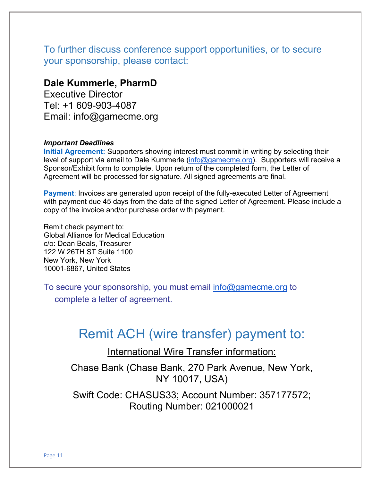To further discuss conference support opportunities, or to secure your sponsorship, please contact:

# **Dale Kummerle, PharmD**

Executive Director Tel: +1 609-903-4087 Email: info@gamecme.org

#### *Important Deadlines*

**Initial Agreement:** Supporters showing interest must commit in writing by selecting their level of support via email to Dale Kummerle [\(info@gamecme.org\)](mailto:info@gamecme.org). Supporters will receive a Sponsor/Exhibit form to complete. Upon return of the completed form, the Letter of Agreement will be processed for signature. All signed agreements are final.

**Payment:** Invoices are generated upon receipt of the fully-executed Letter of Agreement with payment due 45 days from the date of the signed Letter of Agreement. Please include a copy of the invoice and/or purchase order with payment.

Remit check payment to: Global Alliance for Medical Education c/o: Dean Beals, Treasurer 122 W 26TH ST Suite 1100 New York, New York 10001-6867, United States

To secure your sponsorship, you must email [info@gamecme.org](mailto:info@gamecme.org) to

complete a letter of agreement.

# Remit ACH (wire transfer) payment to:

International Wire Transfer information:

Chase Bank (Chase Bank, 270 Park Avenue, New York, NY 10017, USA)

Swift Code: CHASUS33; Account Number: 357177572; Routing Number: 021000021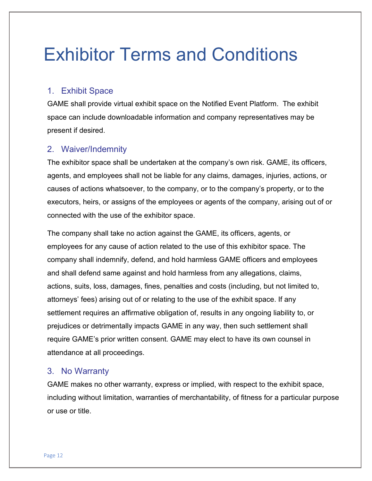# Exhibitor Terms and Conditions

# 1. Exhibit Space

GAME shall provide virtual exhibit space on the Notified Event Platform. The exhibit space can include downloadable information and company representatives may be present if desired.

## 2. Waiver/Indemnity

The exhibitor space shall be undertaken at the company's own risk. GAME, its officers, agents, and employees shall not be liable for any claims, damages, injuries, actions, or causes of actions whatsoever, to the company, or to the company's property, or to the executors, heirs, or assigns of the employees or agents of the company, arising out of or connected with the use of the exhibitor space.

The company shall take no action against the GAME, its officers, agents, or employees for any cause of action related to the use of this exhibitor space. The company shall indemnify, defend, and hold harmless GAME officers and employees and shall defend same against and hold harmless from any allegations, claims, actions, suits, loss, damages, fines, penalties and costs (including, but not limited to, attorneys' fees) arising out of or relating to the use of the exhibit space. If any settlement requires an affirmative obligation of, results in any ongoing liability to, or prejudices or detrimentally impacts GAME in any way, then such settlement shall require GAME's prior written consent. GAME may elect to have its own counsel in attendance at all proceedings.

## 3. No Warranty

GAME makes no other warranty, express or implied, with respect to the exhibit space, including without limitation, warranties of merchantability, of fitness for a particular purpose or use or title.